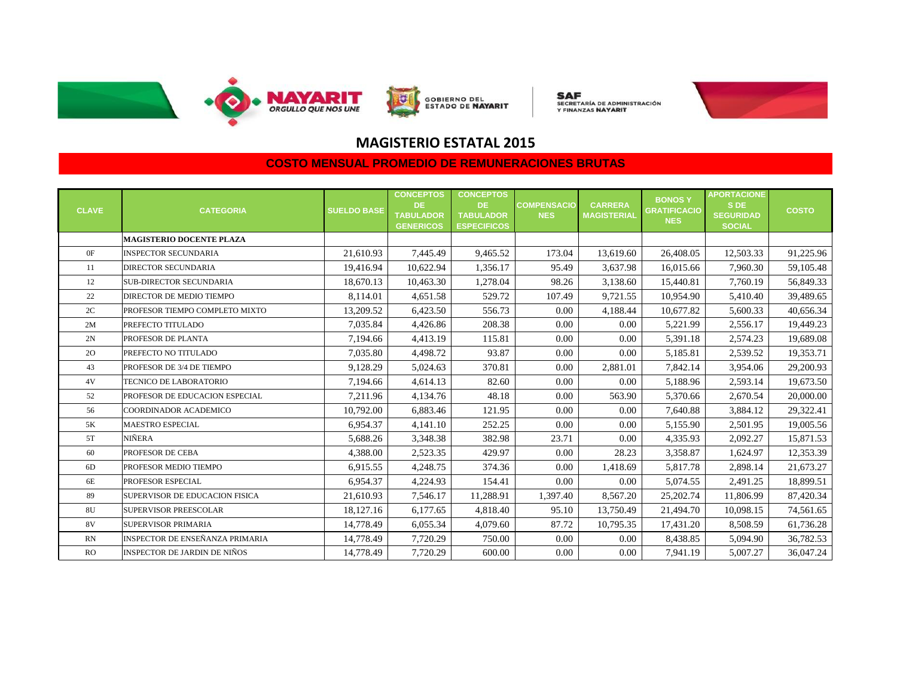

**SAF**<br>secretaría de administración<br>y finanzas **nayarit** 



### **MAGISTERIO ESTATAL 2015**

| <b>CLAVE</b> | <b>CATEGORIA</b>                       | <b>SUELDO BASE</b> | <b>CONCEPTOS</b><br>DE.<br><b>TABULADOR</b><br><b>GENERICOS</b> | <b>CONCEPTOS</b><br>DE.<br><b>TABULADOR</b><br><b>ESPECIFICOS</b> | <b>COMPENSACIO</b><br><b>NES</b> | <b>CARRERA</b><br><b>MAGISTERIAL</b> | <b>BONOSY</b><br><b>GRATIFICACIO</b><br><b>NES</b> | <b>APORTACIONE</b><br>S DE<br><b>SEGURIDAD</b><br><b>SOCIAL</b> | <b>COSTO</b> |
|--------------|----------------------------------------|--------------------|-----------------------------------------------------------------|-------------------------------------------------------------------|----------------------------------|--------------------------------------|----------------------------------------------------|-----------------------------------------------------------------|--------------|
|              | <b>MAGISTERIO DOCENTE PLAZA</b>        |                    |                                                                 |                                                                   |                                  |                                      |                                                    |                                                                 |              |
| 0F           | <b>INSPECTOR SECUNDARIA</b>            | 21,610.93          | 7,445.49                                                        | 9,465.52                                                          | 173.04                           | 13,619.60                            | 26,408.05                                          | 12,503.33                                                       | 91,225.96    |
| 11           | <b>DIRECTOR SECUNDARIA</b>             | 19,416.94          | 10,622.94                                                       | 1,356.17                                                          | 95.49                            | 3,637.98                             | 16,015.66                                          | 7,960.30                                                        | 59,105.48    |
| 12           | SUB-DIRECTOR SECUNDARIA                | 18,670.13          | 10,463.30                                                       | 1,278.04                                                          | 98.26                            | 3,138.60                             | 15,440.81                                          | 7,760.19                                                        | 56,849.33    |
| 22           | DIRECTOR DE MEDIO TIEMPO               | 8,114.01           | 4,651.58                                                        | 529.72                                                            | 107.49                           | 9,721.55                             | 10,954.90                                          | 5,410.40                                                        | 39,489.65    |
| 2C           | PROFESOR TIEMPO COMPLETO MIXTO         | 13,209.52          | 6,423.50                                                        | 556.73                                                            | 0.00                             | 4,188.44                             | 10,677.82                                          | 5,600.33                                                        | 40,656.34    |
| 2M           | PREFECTO TITULADO                      | 7,035.84           | 4,426.86                                                        | 208.38                                                            | 0.00                             | 0.00                                 | 5,221.99                                           | 2,556.17                                                        | 19,449.23    |
| 2N           | PROFESOR DE PLANTA                     | 7,194.66           | 4,413.19                                                        | 115.81                                                            | 0.00                             | 0.00                                 | 5,391.18                                           | 2,574.23                                                        | 19,689.08    |
| 2O           | PREFECTO NO TITULADO                   | 7,035.80           | 4,498.72                                                        | 93.87                                                             | 0.00                             | 0.00                                 | 5,185.81                                           | 2,539.52                                                        | 19,353.71    |
| 43           | PROFESOR DE 3/4 DE TIEMPO              | 9,128.29           | 5,024.63                                                        | 370.81                                                            | 0.00                             | 2,881.01                             | 7,842.14                                           | 3,954.06                                                        | 29,200.93    |
| 4V           | TECNICO DE LABORATORIO                 | 7,194.66           | 4,614.13                                                        | 82.60                                                             | 0.00                             | 0.00                                 | 5,188.96                                           | 2,593.14                                                        | 19,673.50    |
| 52           | PROFESOR DE EDUCACION ESPECIAL         | 7,211.96           | 4,134.76                                                        | 48.18                                                             | 0.00                             | 563.90                               | 5,370.66                                           | 2,670.54                                                        | 20,000.00    |
| 56           | COORDINADOR ACADEMICO                  | 10,792.00          | 6.883.46                                                        | 121.95                                                            | 0.00                             | 0.00                                 | 7,640.88                                           | 3,884.12                                                        | 29,322.41    |
| 5K           | <b>MAESTRO ESPECIAL</b>                | 6,954.37           | 4,141.10                                                        | 252.25                                                            | 0.00                             | 0.00                                 | 5,155.90                                           | 2,501.95                                                        | 19,005.56    |
| 5T           | <b>NIÑERA</b>                          | 5,688.26           | 3,348.38                                                        | 382.98                                                            | 23.71                            | 0.00                                 | 4,335.93                                           | 2,092.27                                                        | 15,871.53    |
| 60           | PROFESOR DE CEBA                       | 4,388.00           | 2,523.35                                                        | 429.97                                                            | 0.00                             | 28.23                                | 3,358.87                                           | 1,624.97                                                        | 12,353.39    |
| 6D           | PROFESOR MEDIO TIEMPO                  | 6,915.55           | 4,248.75                                                        | 374.36                                                            | 0.00                             | 1,418.69                             | 5,817.78                                           | 2,898.14                                                        | 21,673.27    |
| 6E           | PROFESOR ESPECIAL                      | 6,954.37           | 4,224.93                                                        | 154.41                                                            | 0.00                             | 0.00                                 | 5,074.55                                           | 2,491.25                                                        | 18,899.51    |
| 89           | SUPERVISOR DE EDUCACION FISICA         | 21,610.93          | 7,546.17                                                        | 11,288.91                                                         | 1,397.40                         | 8,567.20                             | 25,202.74                                          | 11,806.99                                                       | 87,420.34    |
| 8U           | <b>SUPERVISOR PREESCOLAR</b>           | 18,127.16          | 6,177.65                                                        | 4,818.40                                                          | 95.10                            | 13,750.49                            | 21,494.70                                          | 10,098.15                                                       | 74,561.65    |
| 8V           | <b>SUPERVISOR PRIMARIA</b>             | 14,778.49          | 6,055.34                                                        | 4,079.60                                                          | 87.72                            | 10,795.35                            | 17,431.20                                          | 8,508.59                                                        | 61,736.28    |
| RN           | <b>INSPECTOR DE ENSEÑANZA PRIMARIA</b> | 14,778.49          | 7,720.29                                                        | 750.00                                                            | 0.00                             | 0.00                                 | 8,438.85                                           | 5,094.90                                                        | 36,782.53    |
| <b>RO</b>    | <b>INSPECTOR DE JARDIN DE NIÑOS</b>    | 14,778.49          | 7,720.29                                                        | 600.00                                                            | 0.00                             | 0.00                                 | 7,941.19                                           | 5,007.27                                                        | 36,047.24    |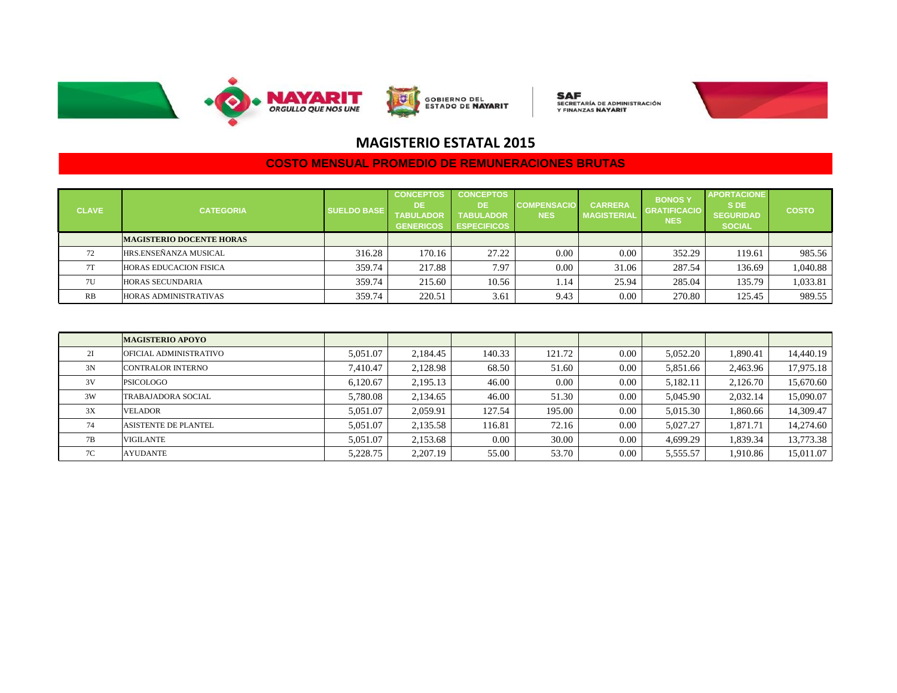

**SAF**<br>secretaría de administración<br>y finanzas **nayarit** 



### **MAGISTERIO ESTATAL 2015**

| <b>CLAVE</b> | <b>CATEGORIA</b>                | <b>SUELDO BASE</b> | <b>CONCEPTOS</b><br><b>DE</b><br><b>TABULADOR</b><br><b>GENERICOS</b> | <b>CONCEPTOS</b><br>DE.<br><b>TABULADOR</b><br><b>ESPECIFICOS</b> | <b>COMPENSACIO</b><br><b>NES</b> | <b>CARRERA</b><br><b>MAGISTERIAL</b> | <b>BONOSY</b><br><b>GRATIFICACIO</b><br><b>NES</b> | <b>APORTACIONE</b><br>S DE<br><b>SEGURIDAD</b><br><b>SOCIAL</b> | <b>COSTO</b> |
|--------------|---------------------------------|--------------------|-----------------------------------------------------------------------|-------------------------------------------------------------------|----------------------------------|--------------------------------------|----------------------------------------------------|-----------------------------------------------------------------|--------------|
|              | <b>MAGISTERIO DOCENTE HORAS</b> |                    |                                                                       |                                                                   |                                  |                                      |                                                    |                                                                 |              |
| 72           | HRS.ENSEÑANZA MUSICAL           | 316.28             | 170.16                                                                | 27.22                                                             | 0.00                             | 0.00                                 | 352.29                                             | 119.61                                                          | 985.56       |
| 7T           | <b>HORAS EDUCACION FISICA</b>   | 359.74             | 217.88                                                                | 7.97                                                              | 0.00                             | 31.06                                | 287.54                                             | 136.69                                                          | 1,040.88     |
| 7U           | <b>HORAS SECUNDARIA</b>         | 359.74             | 215.60                                                                | 10.56                                                             | .14                              | 25.94                                | 285.04                                             | 135.79                                                          | 1,033.81     |
| RB           | <b>HORAS ADMINISTRATIVAS</b>    | 359.74             | 220.51                                                                | 3.61                                                              | 9.43                             | 0.00                                 | 270.80                                             | 125.45                                                          | 989.55       |

|    | <b>MAGISTERIO APOYO</b>     |          |          |        |        |      |          |          |           |
|----|-----------------------------|----------|----------|--------|--------|------|----------|----------|-----------|
| 2I | OFICIAL ADMINISTRATIVO      | 5.051.07 | 2.184.45 | 140.33 | 121.72 | 0.00 | 5,052.20 | 1.890.41 | 14,440.19 |
| 3N | CONTRALOR INTERNO           | 7.410.47 | 2,128.98 | 68.50  | 51.60  | 0.00 | 5,851.66 | 2,463.96 | 17,975.18 |
| 3V | PSICOLOGO                   | 6.120.67 | 2.195.13 | 46.00  | 0.00   | 0.00 | 5,182.11 | 2,126.70 | 15,670.60 |
| 3W | TRABAJADORA SOCIAL          | 5.780.08 | 2.134.65 | 46.00  | 51.30  | 0.00 | 5,045.90 | 2,032.14 | 15,090.07 |
| 3X | <b>VELADOR</b>              | 5.051.07 | 2.059.91 | 127.54 | 195.00 | 0.00 | 5,015.30 | 1,860.66 | 14,309.47 |
| 74 | <b>ASISTENTE DE PLANTEL</b> | 5.051.07 | 2,135.58 | 116.81 | 72.16  | 0.00 | 5,027.27 | 1.871.71 | 14,274.60 |
| 7В | <b>VIGILANTE</b>            | 5.051.07 | 2.153.68 | 0.00   | 30.00  | 0.00 | 4.699.29 | 1,839.34 | 13,773.38 |
| 7C | <b>AYUDANTE</b>             | 5,228.75 | 2,207.19 | 55.00  | 53.70  | 0.00 | 5,555.57 | 1,910.86 | 15,011.07 |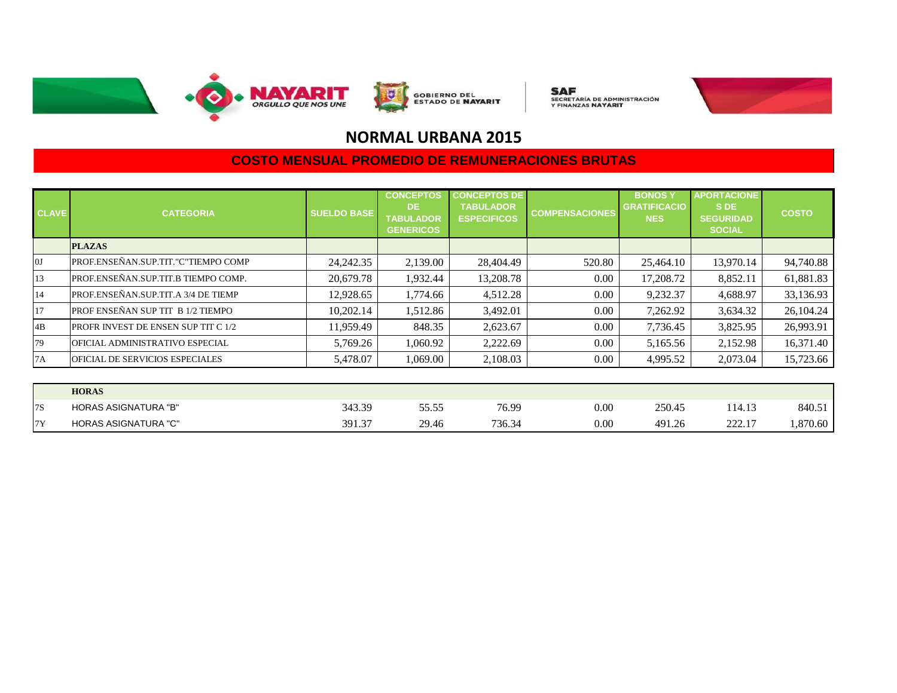

**SAF**<br>SECRETARÍA DE ADMINISTRACIÓN<br>Y FINANZAS **NAYARIT** 



# **NORMAL URBANA 2015**

| <b>CLAVE</b> | <b>CATEGORIA</b>                           | <b>SUELDO BASE</b> | <b>CONCEPTOS</b><br>DE.<br><b>TABULADOR</b><br><b>GENERICOS</b> | <b>CONCEPTOS DE</b><br><b>TABULADOR</b><br><b>ESPECIFICOS</b> | <b>COMPENSACIONES</b> | <b>BONOSY</b><br><b>GRATIFICACIO</b><br><b>NES</b> | <b>APORTACIONE</b><br>S DE<br><b>SEGURIDAD</b><br><b>SOCIAL</b> | <b>COSTO</b> |
|--------------|--------------------------------------------|--------------------|-----------------------------------------------------------------|---------------------------------------------------------------|-----------------------|----------------------------------------------------|-----------------------------------------------------------------|--------------|
|              | <b>PLAZAS</b>                              |                    |                                                                 |                                                               |                       |                                                    |                                                                 |              |
| 0J           | PROF.ENSEÑAN.SUP.TIT."C"TIEMPO COMP        | 24, 242. 35        | 2,139.00                                                        | 28,404.49                                                     | 520.80                | 25,464.10                                          | 13,970.14                                                       | 94,740.88    |
| 13           | PROF.ENSEÑAN.SUP.TIT.B TIEMPO COMP.        | 20,679.78          | 1,932.44                                                        | 13,208.78                                                     | 0.00                  | 17,208.72                                          | 8,852.11                                                        | 61,881.83    |
| 14           | PROF.ENSEÑAN.SUP.TIT.A 3/4 DE TIEMP        | 12,928.65          | 1,774.66                                                        | 4,512.28                                                      | 0.00                  | 9,232.37                                           | 4,688.97                                                        | 33,136.93    |
| 17           | PROF ENSEÑAN SUP TIT B 1/2 TIEMPO          | 10,202.14          | 1,512.86                                                        | 3,492.01                                                      | 0.00                  | 7,262.92                                           | 3,634.32                                                        | 26,104.24    |
| 4B           | <b>PROFR INVEST DE ENSEN SUP TIT C 1/2</b> | 11,959.49          | 848.35                                                          | 2,623.67                                                      | 0.00                  | 7,736.45                                           | 3,825.95                                                        | 26,993.91    |
| 79           | OFICIAL ADMINISTRATIVO ESPECIAL            | 5,769.26           | 1,060.92                                                        | 2,222.69                                                      | 0.00                  | 5,165.56                                           | 2,152.98                                                        | 16,371.40    |
| 7A           | OFICIAL DE SERVICIOS ESPECIALES            | 5,478.07           | 1,069.00                                                        | 2,108.03                                                      | 0.00                  | 4,995.52                                           | 2,073.04                                                        | 15,723.66    |

|     | <b>HORAS</b>                |                  |                |        |      |        |        |          |
|-----|-----------------------------|------------------|----------------|--------|------|--------|--------|----------|
| l7S | <b>HORAS ASIGNATURA "B"</b> | 343.39           | 55.55<br>JJ.JJ | 76.99  | 0.00 | 250.45 | 114.13 | 840.51   |
| 17V | <b>HORAS ASIGNATURA "C"</b> | 391.37<br>$\sim$ | 29.46          | 736.34 | 0.00 | 491.26 | 222.17 | 4,870.60 |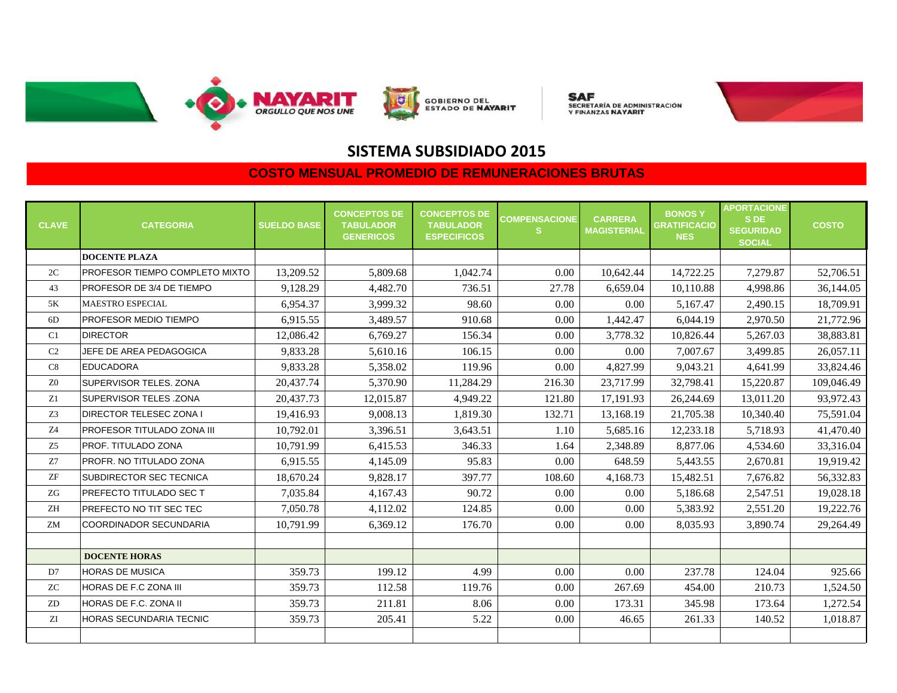

**GOBIERNO DEL<br>ESTADO DE <b>NAYARIT** 

**SAF**<br>secretaría de administración<br>y finanzas **nayarit** 



## **SISTEMA SUBSIDIADO 2015**

| <b>CLAVE</b>   | <b>CATEGORIA</b>               | <b>SUELDO BASE</b> | <b>CONCEPTOS DE</b><br><b>TABULADOR</b><br><b>GENERICOS</b> | <b>CONCEPTOS DE</b><br><b>TABULADOR</b><br><b>ESPECIFICOS</b> | <b>COMPENSACIONE</b><br><b>S</b> | <b>CARRERA</b><br><b>MAGISTERIAL</b> | <b>BONOSY</b><br><b>GRATIFICACIO</b><br><b>NES</b> | <b>APORTACIONE</b><br>S DE<br><b>SEGURIDAD</b><br><b>SOCIAL</b> | <b>COSTO</b> |
|----------------|--------------------------------|--------------------|-------------------------------------------------------------|---------------------------------------------------------------|----------------------------------|--------------------------------------|----------------------------------------------------|-----------------------------------------------------------------|--------------|
|                | <b>DOCENTE PLAZA</b>           |                    |                                                             |                                                               |                                  |                                      |                                                    |                                                                 |              |
| 2C             | PROFESOR TIEMPO COMPLETO MIXTO | 13,209.52          | 5,809.68                                                    | 1.042.74                                                      | 0.00                             | 10,642.44                            | 14,722.25                                          | 7,279.87                                                        | 52,706.51    |
| 43             | PROFESOR DE 3/4 DE TIEMPO      | 9,128.29           | 4,482.70                                                    | 736.51                                                        | 27.78                            | 6,659.04                             | 10,110.88                                          | 4,998.86                                                        | 36,144.05    |
| 5K             | <b>MAESTRO ESPECIAL</b>        | 6,954.37           | 3,999.32                                                    | 98.60                                                         | 0.00                             | 0.00                                 | 5,167.47                                           | 2,490.15                                                        | 18,709.91    |
| 6D             | PROFESOR MEDIO TIEMPO          | 6,915.55           | 3,489.57                                                    | 910.68                                                        | 0.00                             | 1,442.47                             | 6,044.19                                           | 2,970.50                                                        | 21,772.96    |
| C1             | <b>DIRECTOR</b>                | 12,086.42          | 6,769.27                                                    | 156.34                                                        | 0.00                             | 3,778.32                             | 10,826.44                                          | 5,267.03                                                        | 38,883.81    |
| C <sub>2</sub> | JEFE DE AREA PEDAGOGICA        | 9,833.28           | 5,610.16                                                    | 106.15                                                        | 0.00                             | 0.00                                 | 7,007.67                                           | 3,499.85                                                        | 26,057.11    |
| C8             | <b>EDUCADORA</b>               | 9.833.28           | 5,358.02                                                    | 119.96                                                        | 0.00                             | 4,827.99                             | 9,043.21                                           | 4.641.99                                                        | 33,824.46    |
| Z <sub>0</sub> | SUPERVISOR TELES, ZONA         | 20,437.74          | 5,370.90                                                    | 11,284.29                                                     | 216.30                           | 23,717.99                            | 32,798.41                                          | 15,220.87                                                       | 109,046.49   |
| Z1             | SUPERVISOR TELES .ZONA         | 20,437.73          | 12,015.87                                                   | 4,949.22                                                      | 121.80                           | 17,191.93                            | 26,244.69                                          | 13,011.20                                                       | 93,972.43    |
| Z <sub>3</sub> | <b>DIRECTOR TELESEC ZONA I</b> | 19,416.93          | 9,008.13                                                    | 1,819.30                                                      | 132.71                           | 13,168.19                            | 21,705.38                                          | 10,340.40                                                       | 75,591.04    |
| Z <sub>4</sub> | PROFESOR TITULADO ZONA III     | 10,792.01          | 3,396.51                                                    | 3,643.51                                                      | 1.10                             | 5,685.16                             | 12,233.18                                          | 5,718.93                                                        | 41,470.40    |
| Z <sub>5</sub> | PROF. TITULADO ZONA            | 10,791.99          | 6,415.53                                                    | 346.33                                                        | 1.64                             | 2,348.89                             | 8,877.06                                           | 4,534.60                                                        | 33,316.04    |
| Z7             | PROFR. NO TITULADO ZONA        | 6,915.55           | 4,145.09                                                    | 95.83                                                         | 0.00                             | 648.59                               | 5,443.55                                           | 2,670.81                                                        | 19,919.42    |
| ${\rm ZF}$     | SUBDIRECTOR SEC TECNICA        | 18,670.24          | 9,828.17                                                    | 397.77                                                        | 108.60                           | 4,168.73                             | 15,482.51                                          | 7,676.82                                                        | 56,332.83    |
| ZG             | PREFECTO TITULADO SEC T        | 7,035.84           | 4,167.43                                                    | 90.72                                                         | 0.00                             | 0.00                                 | 5,186.68                                           | 2,547.51                                                        | 19,028.18    |
| ZH             | PREFECTO NO TIT SEC TEC        | 7,050.78           | 4,112.02                                                    | 124.85                                                        | 0.00                             | 0.00                                 | 5,383.92                                           | 2,551.20                                                        | 19,222.76    |
| ZM             | <b>COORDINADOR SECUNDARIA</b>  | 10,791.99          | 6,369.12                                                    | 176.70                                                        | 0.00                             | 0.00                                 | 8,035.93                                           | 3,890.74                                                        | 29,264.49    |
|                |                                |                    |                                                             |                                                               |                                  |                                      |                                                    |                                                                 |              |
|                | <b>DOCENTE HORAS</b>           |                    |                                                             |                                                               |                                  |                                      |                                                    |                                                                 |              |
| D7             | <b>HORAS DE MUSICA</b>         | 359.73             | 199.12                                                      | 4.99                                                          | 0.00                             | 0.00                                 | 237.78                                             | 124.04                                                          | 925.66       |
| <b>ZC</b>      | HORAS DE F.C ZONA III          | 359.73             | 112.58                                                      | 119.76                                                        | 0.00                             | 267.69                               | 454.00                                             | 210.73                                                          | 1,524.50     |
| ZD             | HORAS DE F.C. ZONA II          | 359.73             | 211.81                                                      | 8.06                                                          | 0.00                             | 173.31                               | 345.98                                             | 173.64                                                          | 1,272.54     |
| ZI             | HORAS SECUNDARIA TECNIC        | 359.73             | 205.41                                                      | 5.22                                                          | 0.00                             | 46.65                                | 261.33                                             | 140.52                                                          | 1,018.87     |
|                |                                |                    |                                                             |                                                               |                                  |                                      |                                                    |                                                                 |              |